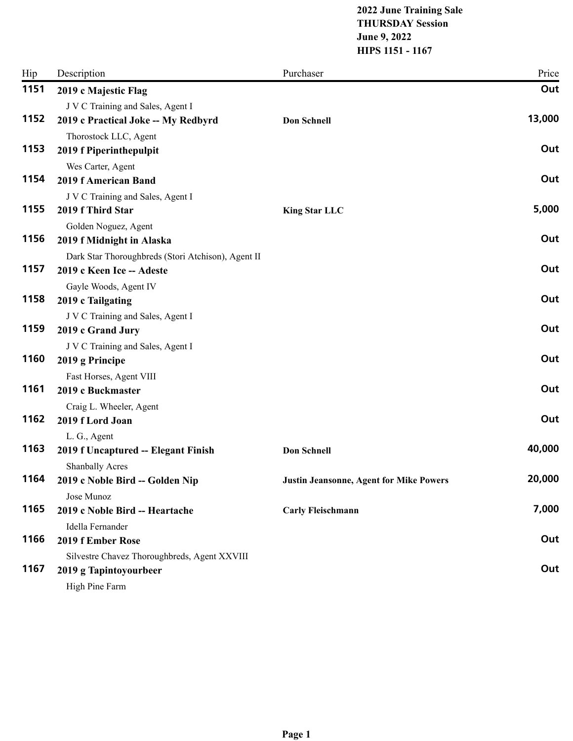## **2022 June Training Sale THURSDAY Session June 9, 2022 HIPS 1151 - 1167**

| Hip  | Description                                         | Purchaser                                      | Price  |
|------|-----------------------------------------------------|------------------------------------------------|--------|
| 1151 | 2019 c Majestic Flag                                |                                                | Out    |
|      | J V C Training and Sales, Agent I                   |                                                |        |
| 1152 | 2019 c Practical Joke -- My Redbyrd                 | <b>Don Schnell</b>                             | 13,000 |
|      | Thorostock LLC, Agent                               |                                                |        |
| 1153 | 2019 f Piperinthepulpit                             |                                                | Out    |
|      | Wes Carter, Agent                                   |                                                |        |
| 1154 | <b>2019 f American Band</b>                         |                                                | Out    |
|      | J V C Training and Sales, Agent I                   |                                                |        |
| 1155 | 2019 f Third Star                                   | <b>King Star LLC</b>                           | 5,000  |
|      | Golden Noguez, Agent                                |                                                |        |
| 1156 | 2019 f Midnight in Alaska                           |                                                | Out    |
|      | Dark Star Thoroughbreds (Stori Atchison), Agent II  |                                                |        |
| 1157 | 2019 c Keen Ice -- Adeste                           |                                                | Out    |
|      | Gayle Woods, Agent IV                               |                                                |        |
| 1158 | 2019 c Tailgating                                   |                                                | Out    |
|      | J V C Training and Sales, Agent I                   |                                                |        |
| 1159 | 2019 c Grand Jury                                   |                                                | Out    |
| 1160 | J V C Training and Sales, Agent I                   |                                                | Out    |
|      | 2019 g Principe                                     |                                                |        |
| 1161 | Fast Horses, Agent VIII                             |                                                | Out    |
|      | 2019 c Buckmaster                                   |                                                |        |
| 1162 | Craig L. Wheeler, Agent<br>2019 f Lord Joan         |                                                | Out    |
|      |                                                     |                                                |        |
| 1163 | L. G., Agent<br>2019 f Uncaptured -- Elegant Finish | <b>Don Schnell</b>                             | 40,000 |
|      | <b>Shanbally Acres</b>                              |                                                |        |
| 1164 | 2019 c Noble Bird -- Golden Nip                     | <b>Justin Jeansonne, Agent for Mike Powers</b> | 20,000 |
|      | Jose Munoz                                          |                                                |        |
| 1165 | 2019 c Noble Bird -- Heartache                      | <b>Carly Fleischmann</b>                       | 7,000  |
|      | Idella Fernander                                    |                                                |        |
| 1166 | 2019 f Ember Rose                                   |                                                | Out    |
|      | Silvestre Chavez Thoroughbreds, Agent XXVIII        |                                                |        |
| 1167 | 2019 g Tapintoyourbeer                              |                                                | Out    |
|      | High Pine Farm                                      |                                                |        |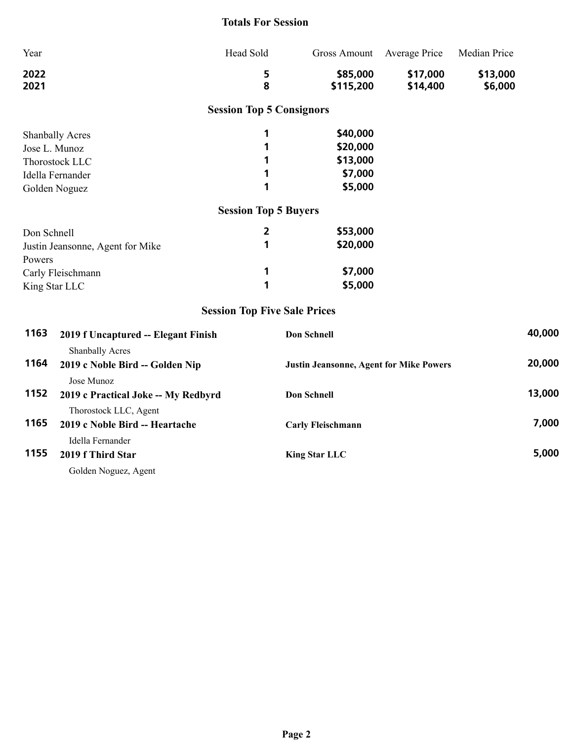## **Totals For Session**

| Year                             |                                                           | Head Sold                           | <b>Gross Amount</b>                            | <b>Average Price</b> | Median Price |        |
|----------------------------------|-----------------------------------------------------------|-------------------------------------|------------------------------------------------|----------------------|--------------|--------|
| 2022                             |                                                           | 5                                   | \$85,000                                       | \$17,000             | \$13,000     |        |
| 2021                             |                                                           | 8                                   | \$115,200                                      | \$14,400             | \$6,000      |        |
|                                  |                                                           | <b>Session Top 5 Consignors</b>     |                                                |                      |              |        |
|                                  | <b>Shanbally Acres</b>                                    | 1                                   | \$40,000                                       |                      |              |        |
| Jose L. Munoz                    |                                                           | 1                                   | \$20,000                                       |                      |              |        |
|                                  | Thorostock LLC                                            | 1                                   | \$13,000                                       |                      |              |        |
|                                  | Idella Fernander                                          | 1                                   | \$7,000                                        |                      |              |        |
|                                  | Golden Noguez                                             | 1                                   | \$5,000                                        |                      |              |        |
|                                  |                                                           | <b>Session Top 5 Buyers</b>         |                                                |                      |              |        |
| Don Schnell                      |                                                           | $\overline{2}$                      | \$53,000                                       |                      |              |        |
| Justin Jeansonne, Agent for Mike |                                                           | 1                                   | \$20,000                                       |                      |              |        |
| Powers                           |                                                           |                                     |                                                |                      |              |        |
| Carly Fleischmann                |                                                           | 1                                   | \$7,000                                        |                      |              |        |
| King Star LLC                    |                                                           | 1                                   | \$5,000                                        |                      |              |        |
|                                  |                                                           | <b>Session Top Five Sale Prices</b> |                                                |                      |              |        |
| 1163                             | 2019 f Uncaptured -- Elegant Finish                       |                                     | Don Schnell                                    |                      |              | 40,000 |
|                                  | Shanbally Acres                                           |                                     |                                                |                      |              |        |
| 1164                             | 2019 c Noble Bird -- Golden Nip                           |                                     | <b>Justin Jeansonne, Agent for Mike Powers</b> |                      |              | 20,000 |
|                                  | Jose Munoz                                                |                                     |                                                |                      |              |        |
| 1152                             | 2019 c Practical Joke -- My Redbyrd<br><b>Don Schnell</b> |                                     |                                                |                      | 13,000       |        |
|                                  | Thorostock LLC, Agent                                     |                                     |                                                |                      |              |        |
| 1165                             | 2019 c Noble Bird -- Heartache                            |                                     | <b>Carly Fleischmann</b>                       |                      |              | 7,000  |
|                                  | Idella Fernander                                          |                                     |                                                |                      |              |        |
| 1155<br>2019 f Third Star        |                                                           |                                     | <b>King Star LLC</b>                           |                      |              | 5,000  |
|                                  | Golden Noguez, Agent                                      |                                     |                                                |                      |              |        |
|                                  |                                                           |                                     |                                                |                      |              |        |